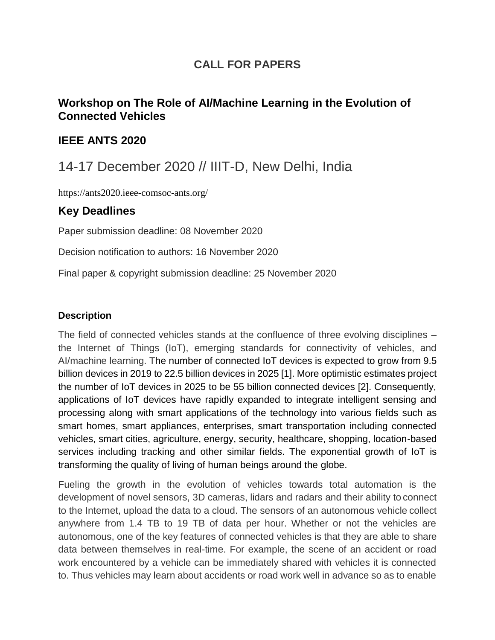## **CALL FOR PAPERS**

### **Workshop on The Role of AI/Machine Learning in the Evolution of Connected Vehicles**

#### **IEEE ANTS 2020**

## 14-17 December 2020 // IIIT-D, New Delhi, India

https://ants2020.ieee-comsoc-ants.org/

#### **Key Deadlines**

Paper submission deadline: 08 November 2020

Decision notification to authors: 16 November 2020

Final paper & copyright submission deadline: 25 November 2020

#### **Description**

The field of connected vehicles stands at the confluence of three evolving disciplines – the Internet of Things (IoT), emerging standards for connectivity of vehicles, and AI/machine learning. The number of connected IoT devices is expected to grow from 9.5 billion devices in 2019 to 22.5 billion devices in 2025 [1]. More optimistic estimates project the number of IoT devices in 2025 to be 55 billion connected devices [2]. Consequently, applications of IoT devices have rapidly expanded to integrate intelligent sensing and processing along with smart applications of the technology into various fields such as smart homes, smart appliances, enterprises, smart transportation including connected vehicles, smart cities, agriculture, energy, security, healthcare, shopping, location-based services including tracking and other similar fields. The exponential growth of IoT is transforming the quality of living of human beings around the globe.

Fueling the growth in the evolution of vehicles towards total automation is the development of novel sensors, 3D cameras, lidars and radars and their ability to connect to the Internet, upload the data to a cloud. The sensors of an autonomous vehicle collect anywhere from 1.4 TB to 19 TB of data per hour. Whether or not the vehicles are autonomous, one of the key features of connected vehicles is that they are able to share data between themselves in real-time. For example, the scene of an accident or road work encountered by a vehicle can be immediately shared with vehicles it is connected to. Thus vehicles may learn about accidents or road work well in advance so as to enable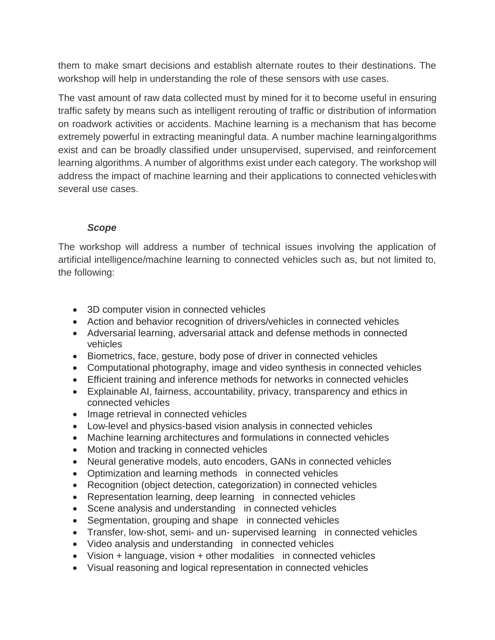them to make smart decisions and establish alternate routes to their destinations. The workshop will help in understanding the role of these sensors with use cases.

The vast amount of raw data collected must by mined for it to become useful in ensuring traffic safety by means such as intelligent rerouting of traffic or distribution of information on roadwork activities or accidents. Machine learning is a mechanism that has become extremely powerful in extracting meaningful data. A number machine learningalgorithms exist and can be broadly classified under unsupervised, supervised, and reinforcement learning algorithms. A number of algorithms exist under each category. The workshop will address the impact of machine learning and their applications to connected vehicleswith several use cases.

#### *Scope*

The workshop will address a number of technical issues involving the application of artificial intelligence/machine learning to connected vehicles such as, but not limited to, the following:

- 3D computer vision in connected vehicles
- Action and behavior recognition of drivers/vehicles in connected vehicles
- Adversarial learning, adversarial attack and defense methods in connected vehicles
- Biometrics, face, gesture, body pose of driver in connected vehicles
- Computational photography, image and video synthesis in connected vehicles
- Efficient training and inference methods for networks in connected vehicles
- Explainable AI, fairness, accountability, privacy, transparency and ethics in connected vehicles
- Image retrieval in connected vehicles
- Low-level and physics-based vision analysis in connected vehicles
- Machine learning architectures and formulations in connected vehicles
- Motion and tracking in connected vehicles
- Neural generative models, auto encoders, GANs in connected vehicles
- Optimization and learning methods in connected vehicles
- Recognition (object detection, categorization) in connected vehicles
- Representation learning, deep learning in connected vehicles
- Scene analysis and understanding in connected vehicles
- Segmentation, grouping and shape in connected vehicles
- Transfer, low-shot, semi- and un- supervised learning in connected vehicles
- Video analysis and understanding in connected vehicles
- Vision + language, vision + other modalities in connected vehicles
- Visual reasoning and logical representation in connected vehicles